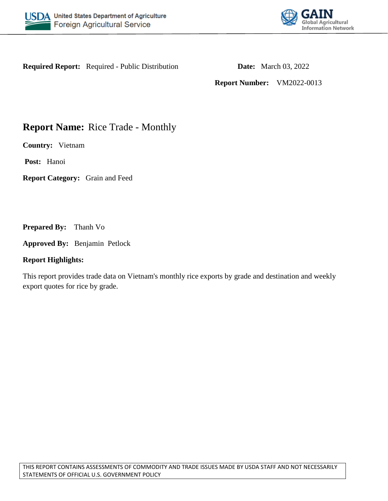



**Required Report:** Required - Public Distribution **Date:** March 03, 2022

**Report Number:** VM2022-0013

# **Report Name:** Rice Trade - Monthly

**Country:** Vietnam

**Post:** Hanoi

**Report Category:** Grain and Feed

**Prepared By:** Thanh Vo

**Approved By:** Benjamin Petlock

## **Report Highlights:**

This report provides trade data on Vietnam's monthly rice exports by grade and destination and weekly export quotes for rice by grade.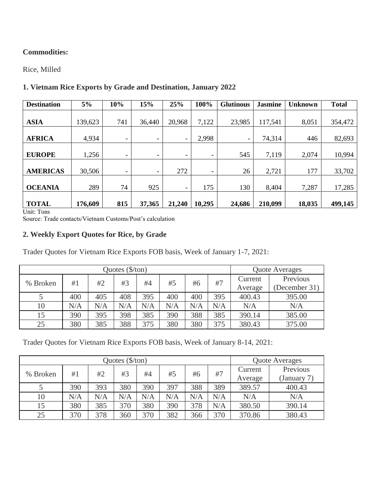# **Commodities:**

Rice, Milled

# **1. Vietnam Rice Exports by Grade and Destination, January 2022**

| <b>Destination</b> | 5%      | 10%                      | 15%    | 25%                      | 100%                     | <b>Glutinous</b>         | <b>Jasmine</b> | <b>Unknown</b> | <b>Total</b> |
|--------------------|---------|--------------------------|--------|--------------------------|--------------------------|--------------------------|----------------|----------------|--------------|
| <b>ASIA</b>        | 139,623 | 741                      | 36,440 | 20,968                   | 7,122                    | 23,985                   | 117,541        | 8,051          | 354,472      |
| <b>AFRICA</b>      | 4,934   | $\overline{\phantom{a}}$ | -      | $\overline{\phantom{a}}$ | 2,998                    | $\overline{\phantom{a}}$ | 74,314         | 446            | 82,693       |
| <b>EUROPE</b>      | 1,256   | $\overline{\phantom{0}}$ | ۰      | $\overline{\phantom{a}}$ | $\overline{\phantom{a}}$ | 545                      | 7,119          | 2,074          | 10,994       |
| <b>AMERICAS</b>    | 30,506  | $\overline{\phantom{0}}$ | -      | 272                      | $\overline{\phantom{a}}$ | 26                       | 2,721          | 177            | 33,702       |
| <b>OCEANIA</b>     | 289     | 74                       | 925    | $\overline{\phantom{a}}$ | 175                      | 130                      | 8,404          | 7,287          | 17,285       |
| <b>TOTAL</b>       | 176,609 | 815                      | 37,365 | 21,240                   | 10,295                   | 24,686                   | 210,099        | 18,035         | 499,145      |

Unit: Tons

Source: Trade contacts/Vietnam Customs/Post's calculation

## **2. Weekly Export Quotes for Rice, by Grade**

Trader Quotes for Vietnam Rice Exports FOB basis, Week of January 1-7, 2021:

| Quotes $(\frac{5}{\tan})$ |     |                |     |     |     |     |     |         |               |  |
|---------------------------|-----|----------------|-----|-----|-----|-----|-----|---------|---------------|--|
|                           |     | Quote Averages |     |     |     |     |     |         |               |  |
| % Broken                  | #1  | #2             | #3  | #4  | #5  | #6  | #7  | Current | Previous      |  |
|                           |     |                |     |     |     |     |     | Average | (December 31) |  |
|                           | 400 | 405            | 408 | 395 | 400 | 400 | 395 | 400.43  | 395.00        |  |
| 10                        | N/A | N/A            | N/A | N/A | N/A | N/A | N/A | N/A     | N/A           |  |
| 15                        | 390 | 395            | 398 | 385 | 390 | 388 | 385 | 390.14  | 385.00        |  |
| 25                        | 380 | 385            | 388 | 375 | 380 | 380 | 375 | 380.43  | 375.00        |  |

Trader Quotes for Vietnam Rice Exports FOB basis, Week of January 8-14, 2021:

|          |     | <b>Ouote Averages</b> |     |     |     |     |     |         |             |
|----------|-----|-----------------------|-----|-----|-----|-----|-----|---------|-------------|
| % Broken | #1  | #2                    | #3  | #4  | #5  | #6  | #7  | Current | Previous    |
|          |     |                       |     |     |     |     |     | Average | (January 7) |
|          | 390 | 393                   | 380 | 390 | 397 | 388 | 389 | 389.57  | 400.43      |
| 10       | N/A | N/A                   | N/A | N/A | N/A | N/A | N/A | N/A     | N/A         |
| 15       | 380 | 385                   | 370 | 380 | 390 | 378 | N/A | 380.50  | 390.14      |
| 25       | 370 | 378                   | 360 | 370 | 382 | 366 | 370 | 370.86  | 380.43      |